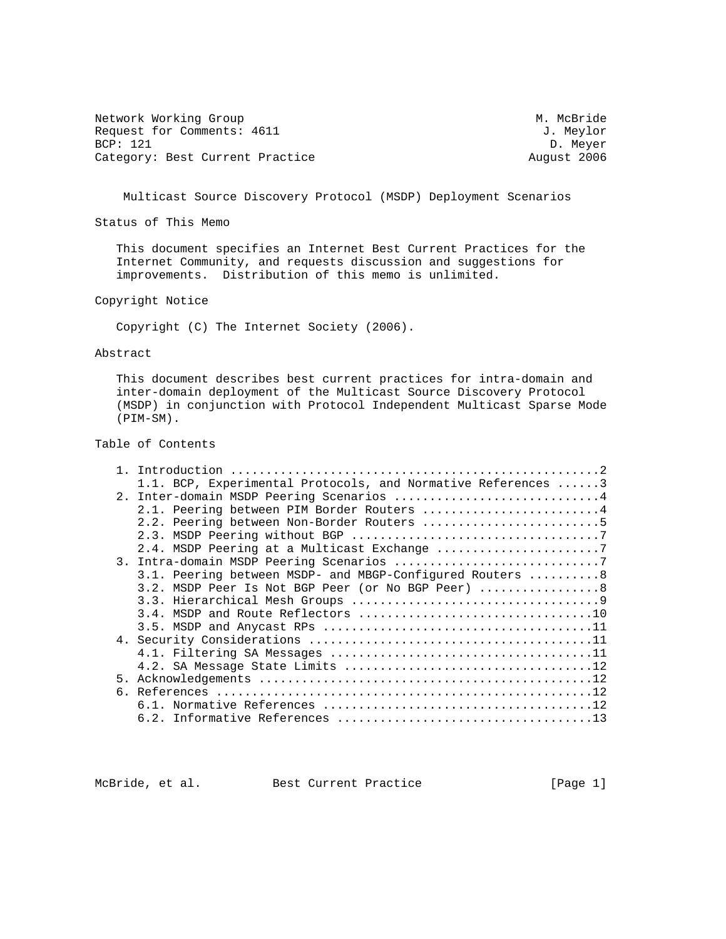Network Working Group Methods and Methods Methods Methods Methods Methods Methods Methods Methods Methods Methods Methods Methods Methods Methods Methods Methods Methods Methods Methods Methods Methods Methods Methods Meth Request for Comments: 4611 J. Meylor<br>BCP: 121 D. Meyer Category: Best Current Practice

D. Meyer<br>August 2006

Multicast Source Discovery Protocol (MSDP) Deployment Scenarios

Status of This Memo

 This document specifies an Internet Best Current Practices for the Internet Community, and requests discussion and suggestions for improvements. Distribution of this memo is unlimited.

Copyright Notice

Copyright (C) The Internet Society (2006).

Abstract

 This document describes best current practices for intra-domain and inter-domain deployment of the Multicast Source Discovery Protocol (MSDP) in conjunction with Protocol Independent Multicast Sparse Mode (PIM-SM).

# Table of Contents

|  | 1.1. BCP, Experimental Protocols, and Normative References 3 |
|--|--------------------------------------------------------------|
|  | 2. Inter-domain MSDP Peering Scenarios 4                     |
|  | 2.1. Peering between PIM Border Routers 4                    |
|  | 2.2. Peering between Non-Border Routers 5                    |
|  |                                                              |
|  | 2.4. MSDP Peering at a Multicast Exchange 7                  |
|  |                                                              |
|  | 3.1. Peering between MSDP- and MBGP-Configured Routers  8    |
|  | 3.2. MSDP Peer Is Not BGP Peer (or No BGP Peer)  8           |
|  |                                                              |
|  |                                                              |
|  |                                                              |
|  |                                                              |
|  |                                                              |
|  |                                                              |
|  |                                                              |
|  |                                                              |
|  |                                                              |
|  |                                                              |

McBride, et al. Best Current Practice [Page 1]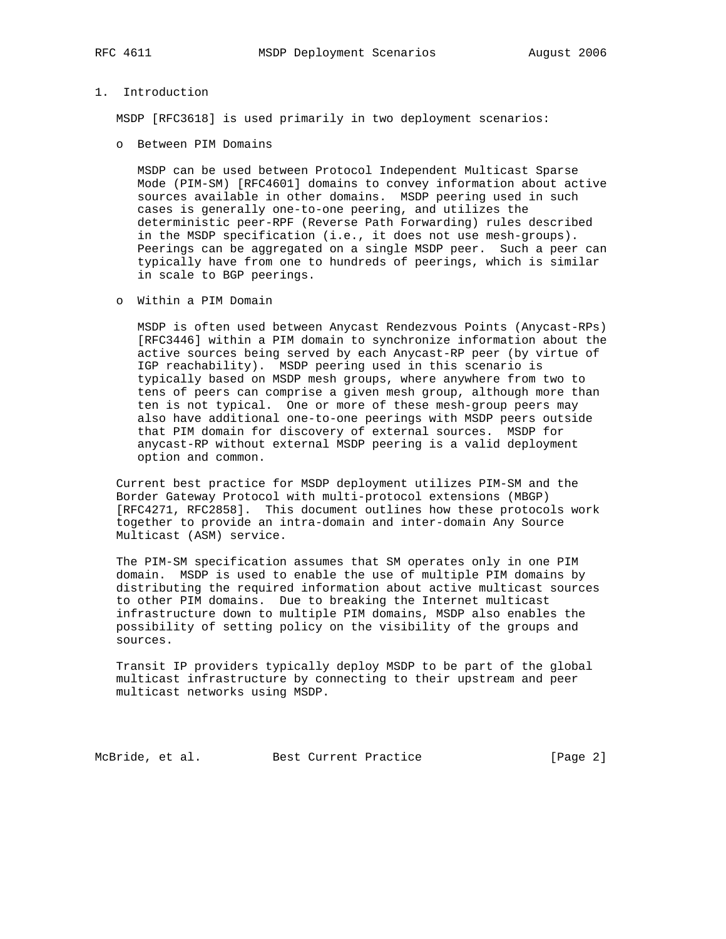## 1. Introduction

MSDP [RFC3618] is used primarily in two deployment scenarios:

o Between PIM Domains

 MSDP can be used between Protocol Independent Multicast Sparse Mode (PIM-SM) [RFC4601] domains to convey information about active sources available in other domains. MSDP peering used in such cases is generally one-to-one peering, and utilizes the deterministic peer-RPF (Reverse Path Forwarding) rules described in the MSDP specification (i.e., it does not use mesh-groups). Peerings can be aggregated on a single MSDP peer. Such a peer can typically have from one to hundreds of peerings, which is similar in scale to BGP peerings.

o Within a PIM Domain

 MSDP is often used between Anycast Rendezvous Points (Anycast-RPs) [RFC3446] within a PIM domain to synchronize information about the active sources being served by each Anycast-RP peer (by virtue of IGP reachability). MSDP peering used in this scenario is typically based on MSDP mesh groups, where anywhere from two to tens of peers can comprise a given mesh group, although more than ten is not typical. One or more of these mesh-group peers may also have additional one-to-one peerings with MSDP peers outside that PIM domain for discovery of external sources. MSDP for anycast-RP without external MSDP peering is a valid deployment option and common.

 Current best practice for MSDP deployment utilizes PIM-SM and the Border Gateway Protocol with multi-protocol extensions (MBGP) [RFC4271, RFC2858]. This document outlines how these protocols work together to provide an intra-domain and inter-domain Any Source Multicast (ASM) service.

 The PIM-SM specification assumes that SM operates only in one PIM domain. MSDP is used to enable the use of multiple PIM domains by distributing the required information about active multicast sources to other PIM domains. Due to breaking the Internet multicast infrastructure down to multiple PIM domains, MSDP also enables the possibility of setting policy on the visibility of the groups and sources.

 Transit IP providers typically deploy MSDP to be part of the global multicast infrastructure by connecting to their upstream and peer multicast networks using MSDP.

McBride, et al. Best Current Practice [Page 2]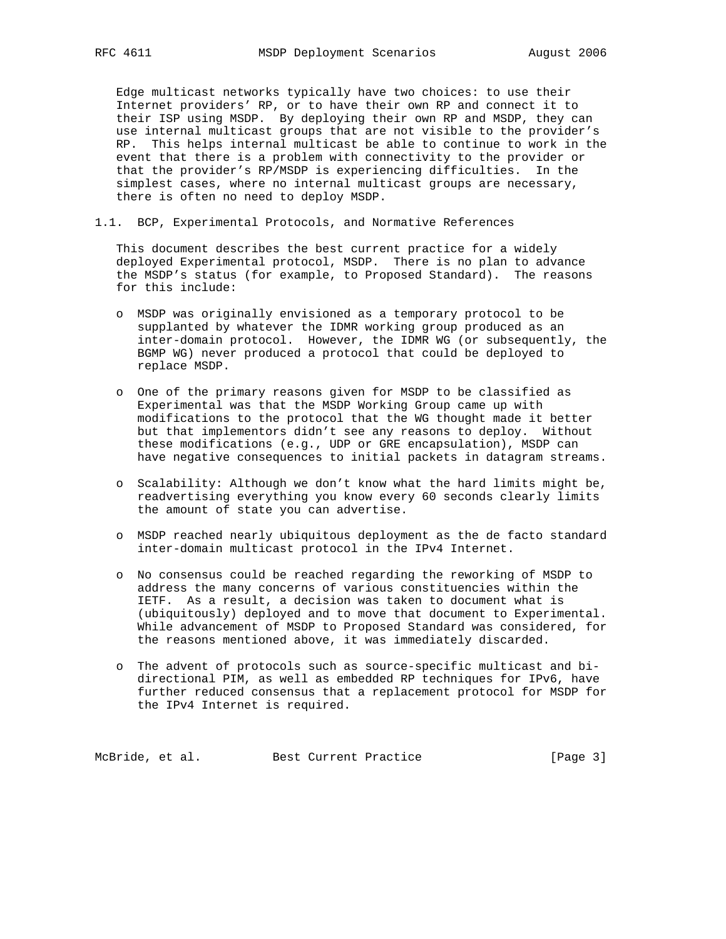Edge multicast networks typically have two choices: to use their Internet providers' RP, or to have their own RP and connect it to their ISP using MSDP. By deploying their own RP and MSDP, they can use internal multicast groups that are not visible to the provider's RP. This helps internal multicast be able to continue to work in the event that there is a problem with connectivity to the provider or that the provider's RP/MSDP is experiencing difficulties. In the simplest cases, where no internal multicast groups are necessary, there is often no need to deploy MSDP.

1.1. BCP, Experimental Protocols, and Normative References

 This document describes the best current practice for a widely deployed Experimental protocol, MSDP. There is no plan to advance the MSDP's status (for example, to Proposed Standard). The reasons for this include:

- o MSDP was originally envisioned as a temporary protocol to be supplanted by whatever the IDMR working group produced as an inter-domain protocol. However, the IDMR WG (or subsequently, the BGMP WG) never produced a protocol that could be deployed to replace MSDP.
- o One of the primary reasons given for MSDP to be classified as Experimental was that the MSDP Working Group came up with modifications to the protocol that the WG thought made it better but that implementors didn't see any reasons to deploy. Without these modifications (e.g., UDP or GRE encapsulation), MSDP can have negative consequences to initial packets in datagram streams.
- o Scalability: Although we don't know what the hard limits might be, readvertising everything you know every 60 seconds clearly limits the amount of state you can advertise.
- o MSDP reached nearly ubiquitous deployment as the de facto standard inter-domain multicast protocol in the IPv4 Internet.
- o No consensus could be reached regarding the reworking of MSDP to address the many concerns of various constituencies within the IETF. As a result, a decision was taken to document what is (ubiquitously) deployed and to move that document to Experimental. While advancement of MSDP to Proposed Standard was considered, for the reasons mentioned above, it was immediately discarded.
- o The advent of protocols such as source-specific multicast and bi directional PIM, as well as embedded RP techniques for IPv6, have further reduced consensus that a replacement protocol for MSDP for the IPv4 Internet is required.

McBride, et al. Best Current Practice [Page 3]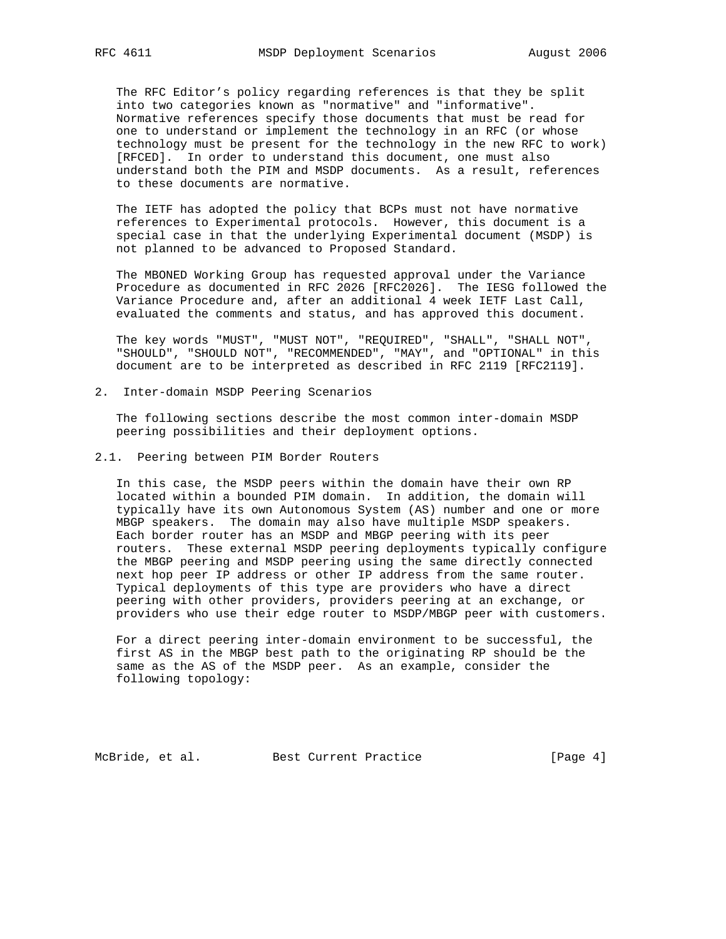The RFC Editor's policy regarding references is that they be split into two categories known as "normative" and "informative". Normative references specify those documents that must be read for one to understand or implement the technology in an RFC (or whose technology must be present for the technology in the new RFC to work) [RFCED]. In order to understand this document, one must also understand both the PIM and MSDP documents. As a result, references to these documents are normative.

 The IETF has adopted the policy that BCPs must not have normative references to Experimental protocols. However, this document is a special case in that the underlying Experimental document (MSDP) is not planned to be advanced to Proposed Standard.

 The MBONED Working Group has requested approval under the Variance Procedure as documented in RFC 2026 [RFC2026]. The IESG followed the Variance Procedure and, after an additional 4 week IETF Last Call, evaluated the comments and status, and has approved this document.

 The key words "MUST", "MUST NOT", "REQUIRED", "SHALL", "SHALL NOT", "SHOULD", "SHOULD NOT", "RECOMMENDED", "MAY", and "OPTIONAL" in this document are to be interpreted as described in RFC 2119 [RFC2119].

2. Inter-domain MSDP Peering Scenarios

 The following sections describe the most common inter-domain MSDP peering possibilities and their deployment options.

2.1. Peering between PIM Border Routers

 In this case, the MSDP peers within the domain have their own RP located within a bounded PIM domain. In addition, the domain will typically have its own Autonomous System (AS) number and one or more MBGP speakers. The domain may also have multiple MSDP speakers. Each border router has an MSDP and MBGP peering with its peer routers. These external MSDP peering deployments typically configure the MBGP peering and MSDP peering using the same directly connected next hop peer IP address or other IP address from the same router. Typical deployments of this type are providers who have a direct peering with other providers, providers peering at an exchange, or providers who use their edge router to MSDP/MBGP peer with customers.

 For a direct peering inter-domain environment to be successful, the first AS in the MBGP best path to the originating RP should be the same as the AS of the MSDP peer. As an example, consider the following topology:

McBride, et al. Best Current Practice [Page 4]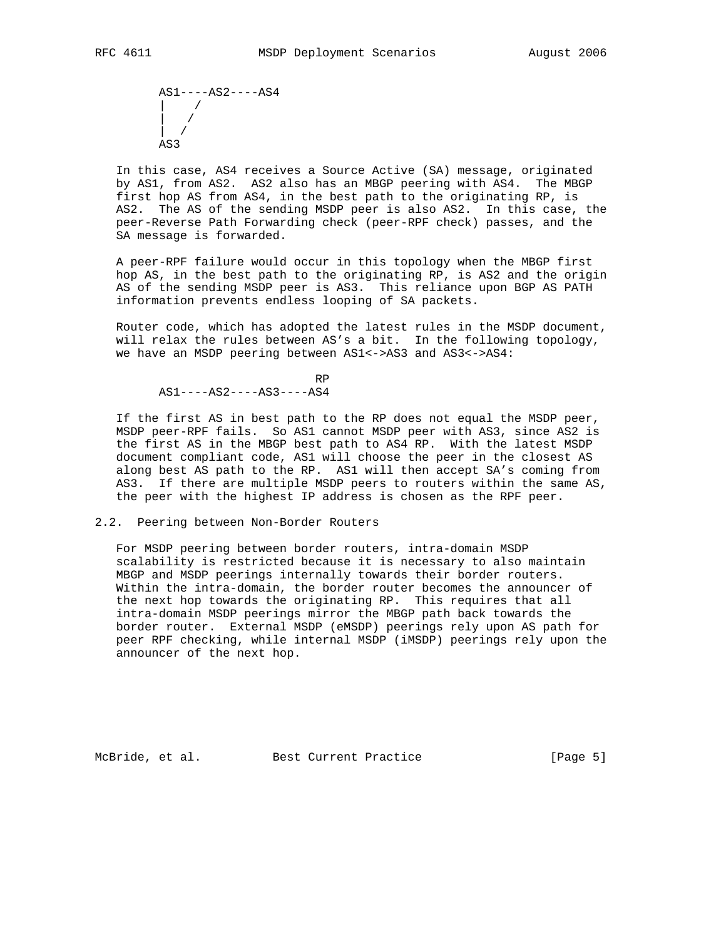AS1----AS2----AS4 | /  $\|$  /  $\vert$  / AS3

 In this case, AS4 receives a Source Active (SA) message, originated by AS1, from AS2. AS2 also has an MBGP peering with AS4. The MBGP first hop AS from AS4, in the best path to the originating RP, is AS2. The AS of the sending MSDP peer is also AS2. In this case, the peer-Reverse Path Forwarding check (peer-RPF check) passes, and the SA message is forwarded.

 A peer-RPF failure would occur in this topology when the MBGP first hop AS, in the best path to the originating RP, is AS2 and the origin AS of the sending MSDP peer is AS3. This reliance upon BGP AS PATH information prevents endless looping of SA packets.

 Router code, which has adopted the latest rules in the MSDP document, will relax the rules between AS's a bit. In the following topology, we have an MSDP peering between AS1<->AS3 and AS3<->AS4:

**RP RP** AS1----AS2----AS3----AS4

 If the first AS in best path to the RP does not equal the MSDP peer, MSDP peer-RPF fails. So AS1 cannot MSDP peer with AS3, since AS2 is the first AS in the MBGP best path to AS4 RP. With the latest MSDP document compliant code, AS1 will choose the peer in the closest AS along best AS path to the RP. AS1 will then accept SA's coming from AS3. If there are multiple MSDP peers to routers within the same AS, the peer with the highest IP address is chosen as the RPF peer.

2.2. Peering between Non-Border Routers

 For MSDP peering between border routers, intra-domain MSDP scalability is restricted because it is necessary to also maintain MBGP and MSDP peerings internally towards their border routers. Within the intra-domain, the border router becomes the announcer of the next hop towards the originating RP. This requires that all intra-domain MSDP peerings mirror the MBGP path back towards the border router. External MSDP (eMSDP) peerings rely upon AS path for peer RPF checking, while internal MSDP (iMSDP) peerings rely upon the announcer of the next hop.

McBride, et al. Best Current Practice [Page 5]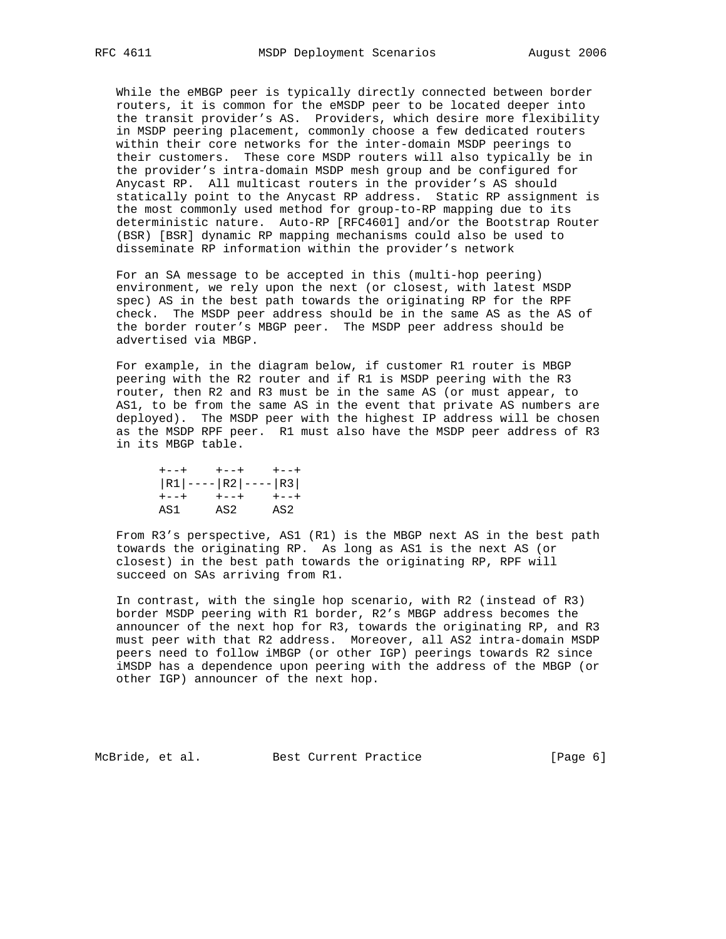While the eMBGP peer is typically directly connected between border routers, it is common for the eMSDP peer to be located deeper into the transit provider's AS. Providers, which desire more flexibility in MSDP peering placement, commonly choose a few dedicated routers within their core networks for the inter-domain MSDP peerings to their customers. These core MSDP routers will also typically be in the provider's intra-domain MSDP mesh group and be configured for Anycast RP. All multicast routers in the provider's AS should statically point to the Anycast RP address. Static RP assignment is the most commonly used method for group-to-RP mapping due to its deterministic nature. Auto-RP [RFC4601] and/or the Bootstrap Router (BSR) [BSR] dynamic RP mapping mechanisms could also be used to disseminate RP information within the provider's network

 For an SA message to be accepted in this (multi-hop peering) environment, we rely upon the next (or closest, with latest MSDP spec) AS in the best path towards the originating RP for the RPF check. The MSDP peer address should be in the same AS as the AS of the border router's MBGP peer. The MSDP peer address should be advertised via MBGP.

 For example, in the diagram below, if customer R1 router is MBGP peering with the R2 router and if R1 is MSDP peering with the R3 router, then R2 and R3 must be in the same AS (or must appear, to AS1, to be from the same AS in the event that private AS numbers are deployed). The MSDP peer with the highest IP address will be chosen as the MSDP RPF peer. R1 must also have the MSDP peer address of R3 in its MBGP table.

| $+ - - +$ | $+--+$                         | $+ - - +$ |
|-----------|--------------------------------|-----------|
|           | $ R1 $ ---- $ R2 $ ---- $ R3 $ |           |
| $+ - - +$ | $+ - - +$                      | $+ - - +$ |
| AS1       | AS2                            | AS2       |

 From R3's perspective, AS1 (R1) is the MBGP next AS in the best path towards the originating RP. As long as AS1 is the next AS (or closest) in the best path towards the originating RP, RPF will succeed on SAs arriving from R1.

 In contrast, with the single hop scenario, with R2 (instead of R3) border MSDP peering with R1 border, R2's MBGP address becomes the announcer of the next hop for R3, towards the originating RP, and R3 must peer with that R2 address. Moreover, all AS2 intra-domain MSDP peers need to follow iMBGP (or other IGP) peerings towards R2 since iMSDP has a dependence upon peering with the address of the MBGP (or other IGP) announcer of the next hop.

McBride, et al. Best Current Practice [Page 6]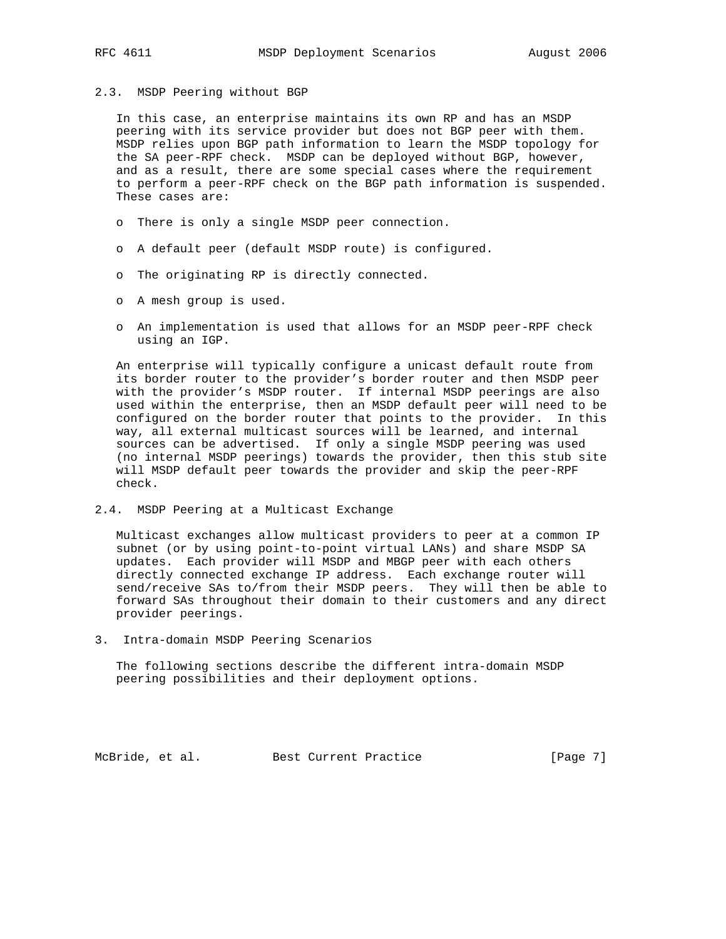# 2.3. MSDP Peering without BGP

 In this case, an enterprise maintains its own RP and has an MSDP peering with its service provider but does not BGP peer with them. MSDP relies upon BGP path information to learn the MSDP topology for the SA peer-RPF check. MSDP can be deployed without BGP, however, and as a result, there are some special cases where the requirement to perform a peer-RPF check on the BGP path information is suspended. These cases are:

- o There is only a single MSDP peer connection.
- o A default peer (default MSDP route) is configured.
- o The originating RP is directly connected.
- o A mesh group is used.
- o An implementation is used that allows for an MSDP peer-RPF check using an IGP.

 An enterprise will typically configure a unicast default route from its border router to the provider's border router and then MSDP peer with the provider's MSDP router. If internal MSDP peerings are also used within the enterprise, then an MSDP default peer will need to be configured on the border router that points to the provider. In this way, all external multicast sources will be learned, and internal sources can be advertised. If only a single MSDP peering was used (no internal MSDP peerings) towards the provider, then this stub site will MSDP default peer towards the provider and skip the peer-RPF check.

2.4. MSDP Peering at a Multicast Exchange

 Multicast exchanges allow multicast providers to peer at a common IP subnet (or by using point-to-point virtual LANs) and share MSDP SA updates. Each provider will MSDP and MBGP peer with each others directly connected exchange IP address. Each exchange router will send/receive SAs to/from their MSDP peers. They will then be able to forward SAs throughout their domain to their customers and any direct provider peerings.

3. Intra-domain MSDP Peering Scenarios

 The following sections describe the different intra-domain MSDP peering possibilities and their deployment options.

McBride, et al. Best Current Practice [Page 7]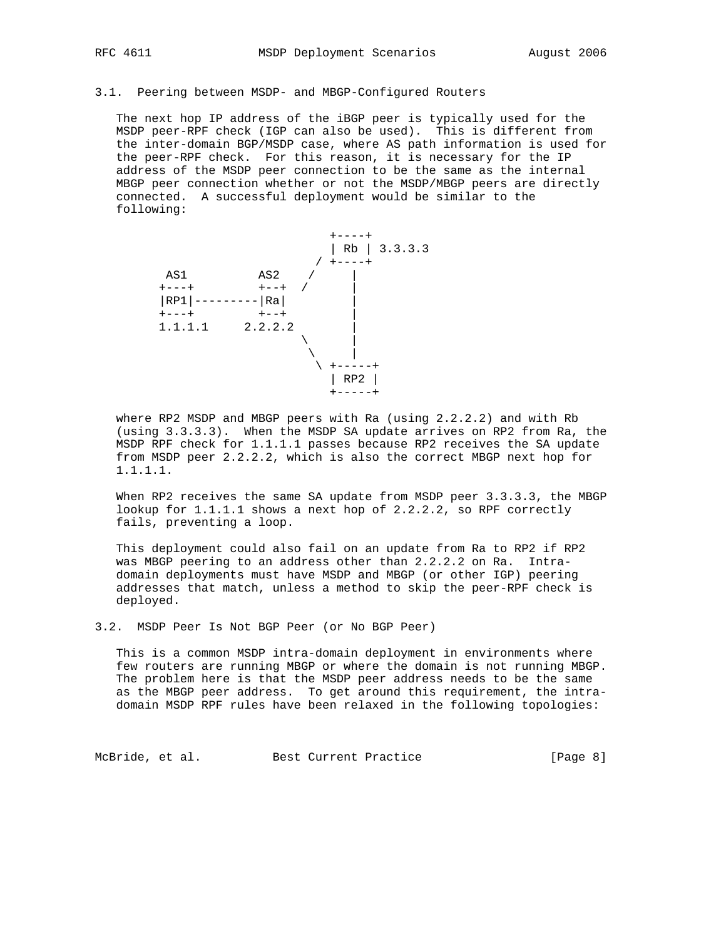## 3.1. Peering between MSDP- and MBGP-Configured Routers

 The next hop IP address of the iBGP peer is typically used for the MSDP peer-RPF check (IGP can also be used). This is different from the inter-domain BGP/MSDP case, where AS path information is used for the peer-RPF check. For this reason, it is necessary for the IP address of the MSDP peer connection to be the same as the internal MBGP peer connection whether or not the MSDP/MBGP peers are directly connected. A successful deployment would be similar to the following:



 where RP2 MSDP and MBGP peers with Ra (using 2.2.2.2) and with Rb (using 3.3.3.3). When the MSDP SA update arrives on RP2 from Ra, the MSDP RPF check for 1.1.1.1 passes because RP2 receives the SA update from MSDP peer 2.2.2.2, which is also the correct MBGP next hop for 1.1.1.1.

When RP2 receives the same SA update from MSDP peer 3.3.3.3, the MBGP lookup for 1.1.1.1 shows a next hop of 2.2.2.2, so RPF correctly fails, preventing a loop.

 This deployment could also fail on an update from Ra to RP2 if RP2 was MBGP peering to an address other than 2.2.2.2 on Ra. Intra domain deployments must have MSDP and MBGP (or other IGP) peering addresses that match, unless a method to skip the peer-RPF check is deployed.

3.2. MSDP Peer Is Not BGP Peer (or No BGP Peer)

 This is a common MSDP intra-domain deployment in environments where few routers are running MBGP or where the domain is not running MBGP. The problem here is that the MSDP peer address needs to be the same as the MBGP peer address. To get around this requirement, the intra domain MSDP RPF rules have been relaxed in the following topologies:

McBride, et al. Best Current Practice [Page 8]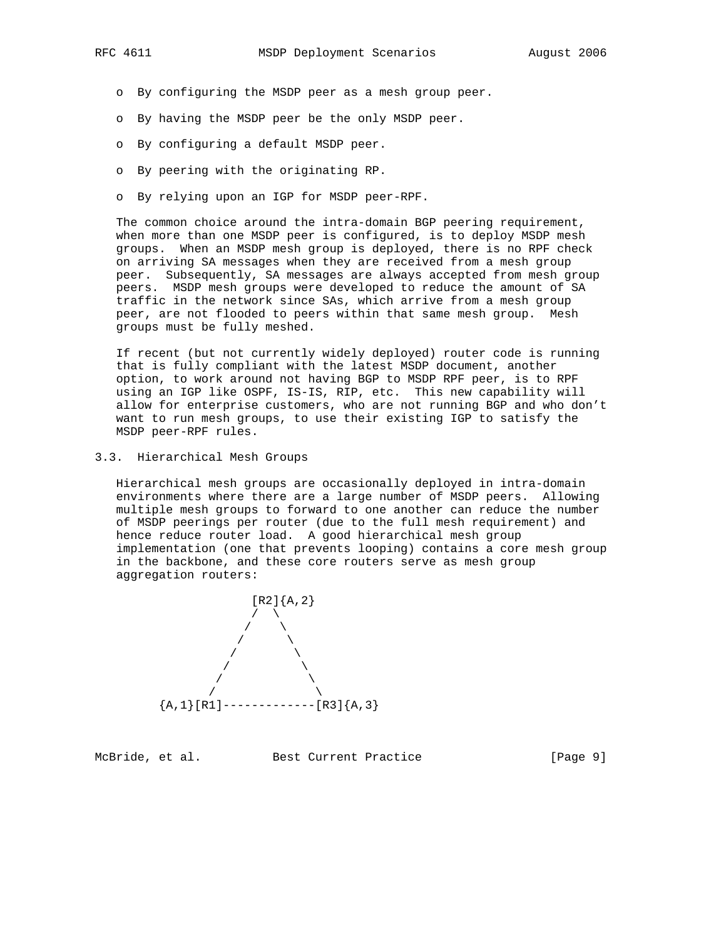- o By configuring the MSDP peer as a mesh group peer.
- o By having the MSDP peer be the only MSDP peer.
- o By configuring a default MSDP peer.
- o By peering with the originating RP.
- o By relying upon an IGP for MSDP peer-RPF.

 The common choice around the intra-domain BGP peering requirement, when more than one MSDP peer is configured, is to deploy MSDP mesh groups. When an MSDP mesh group is deployed, there is no RPF check on arriving SA messages when they are received from a mesh group peer. Subsequently, SA messages are always accepted from mesh group peers. MSDP mesh groups were developed to reduce the amount of SA traffic in the network since SAs, which arrive from a mesh group peer, are not flooded to peers within that same mesh group. Mesh groups must be fully meshed.

 If recent (but not currently widely deployed) router code is running that is fully compliant with the latest MSDP document, another option, to work around not having BGP to MSDP RPF peer, is to RPF using an IGP like OSPF, IS-IS, RIP, etc. This new capability will allow for enterprise customers, who are not running BGP and who don't want to run mesh groups, to use their existing IGP to satisfy the MSDP peer-RPF rules.

3.3. Hierarchical Mesh Groups

 Hierarchical mesh groups are occasionally deployed in intra-domain environments where there are a large number of MSDP peers. Allowing multiple mesh groups to forward to one another can reduce the number of MSDP peerings per router (due to the full mesh requirement) and hence reduce router load. A good hierarchical mesh group implementation (one that prevents looping) contains a core mesh group in the backbone, and these core routers serve as mesh group aggregation routers:



McBride, et al. Best Current Practice [Page 9]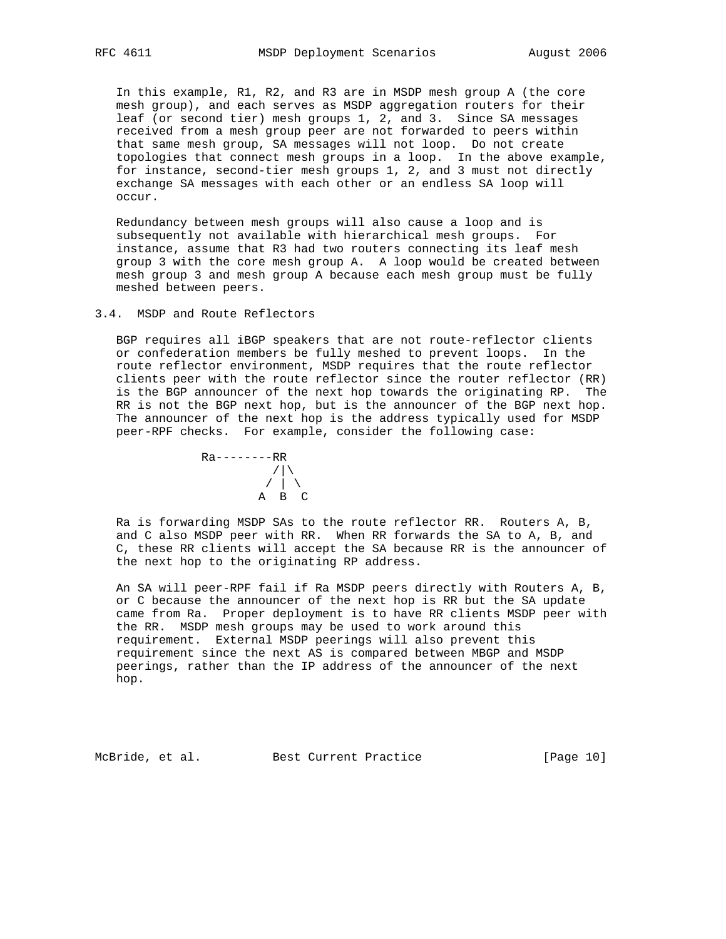In this example, R1, R2, and R3 are in MSDP mesh group A (the core mesh group), and each serves as MSDP aggregation routers for their leaf (or second tier) mesh groups 1, 2, and 3. Since SA messages received from a mesh group peer are not forwarded to peers within that same mesh group, SA messages will not loop. Do not create topologies that connect mesh groups in a loop. In the above example, for instance, second-tier mesh groups 1, 2, and 3 must not directly exchange SA messages with each other or an endless SA loop will occur.

 Redundancy between mesh groups will also cause a loop and is subsequently not available with hierarchical mesh groups. For instance, assume that R3 had two routers connecting its leaf mesh group 3 with the core mesh group A. A loop would be created between mesh group 3 and mesh group A because each mesh group must be fully meshed between peers.

3.4. MSDP and Route Reflectors

 BGP requires all iBGP speakers that are not route-reflector clients or confederation members be fully meshed to prevent loops. In the route reflector environment, MSDP requires that the route reflector clients peer with the route reflector since the router reflector (RR) is the BGP announcer of the next hop towards the originating RP. The RR is not the BGP next hop, but is the announcer of the BGP next hop. The announcer of the next hop is the address typically used for MSDP peer-RPF checks. For example, consider the following case:



 Ra is forwarding MSDP SAs to the route reflector RR. Routers A, B, and C also MSDP peer with RR. When RR forwards the SA to A, B, and C, these RR clients will accept the SA because RR is the announcer of the next hop to the originating RP address.

 An SA will peer-RPF fail if Ra MSDP peers directly with Routers A, B, or C because the announcer of the next hop is RR but the SA update came from Ra. Proper deployment is to have RR clients MSDP peer with the RR. MSDP mesh groups may be used to work around this requirement. External MSDP peerings will also prevent this requirement since the next AS is compared between MBGP and MSDP peerings, rather than the IP address of the announcer of the next hop.

McBride, et al. Best Current Practice [Page 10]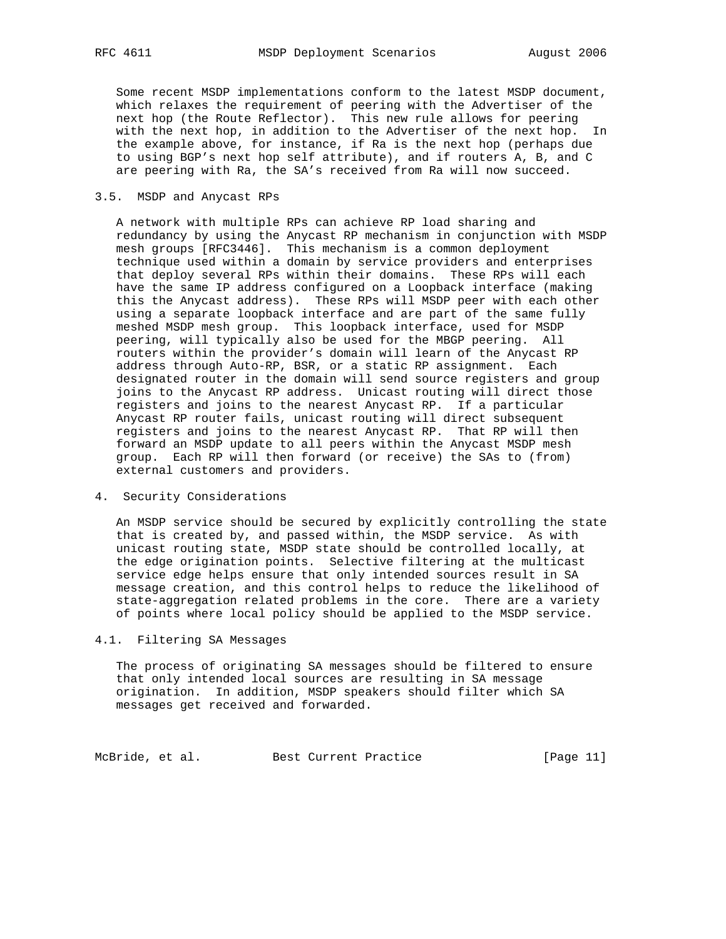Some recent MSDP implementations conform to the latest MSDP document, which relaxes the requirement of peering with the Advertiser of the next hop (the Route Reflector). This new rule allows for peering with the next hop, in addition to the Advertiser of the next hop. In the example above, for instance, if Ra is the next hop (perhaps due to using BGP's next hop self attribute), and if routers A, B, and C are peering with Ra, the SA's received from Ra will now succeed.

## 3.5. MSDP and Anycast RPs

 A network with multiple RPs can achieve RP load sharing and redundancy by using the Anycast RP mechanism in conjunction with MSDP mesh groups [RFC3446]. This mechanism is a common deployment technique used within a domain by service providers and enterprises that deploy several RPs within their domains. These RPs will each have the same IP address configured on a Loopback interface (making this the Anycast address). These RPs will MSDP peer with each other using a separate loopback interface and are part of the same fully meshed MSDP mesh group. This loopback interface, used for MSDP peering, will typically also be used for the MBGP peering. All routers within the provider's domain will learn of the Anycast RP address through Auto-RP, BSR, or a static RP assignment. Each designated router in the domain will send source registers and group joins to the Anycast RP address. Unicast routing will direct those registers and joins to the nearest Anycast RP. If a particular Anycast RP router fails, unicast routing will direct subsequent registers and joins to the nearest Anycast RP. That RP will then forward an MSDP update to all peers within the Anycast MSDP mesh group. Each RP will then forward (or receive) the SAs to (from) external customers and providers.

4. Security Considerations

 An MSDP service should be secured by explicitly controlling the state that is created by, and passed within, the MSDP service. As with unicast routing state, MSDP state should be controlled locally, at the edge origination points. Selective filtering at the multicast service edge helps ensure that only intended sources result in SA message creation, and this control helps to reduce the likelihood of state-aggregation related problems in the core. There are a variety of points where local policy should be applied to the MSDP service.

## 4.1. Filtering SA Messages

 The process of originating SA messages should be filtered to ensure that only intended local sources are resulting in SA message origination. In addition, MSDP speakers should filter which SA messages get received and forwarded.

McBride, et al. Best Current Practice [Page 11]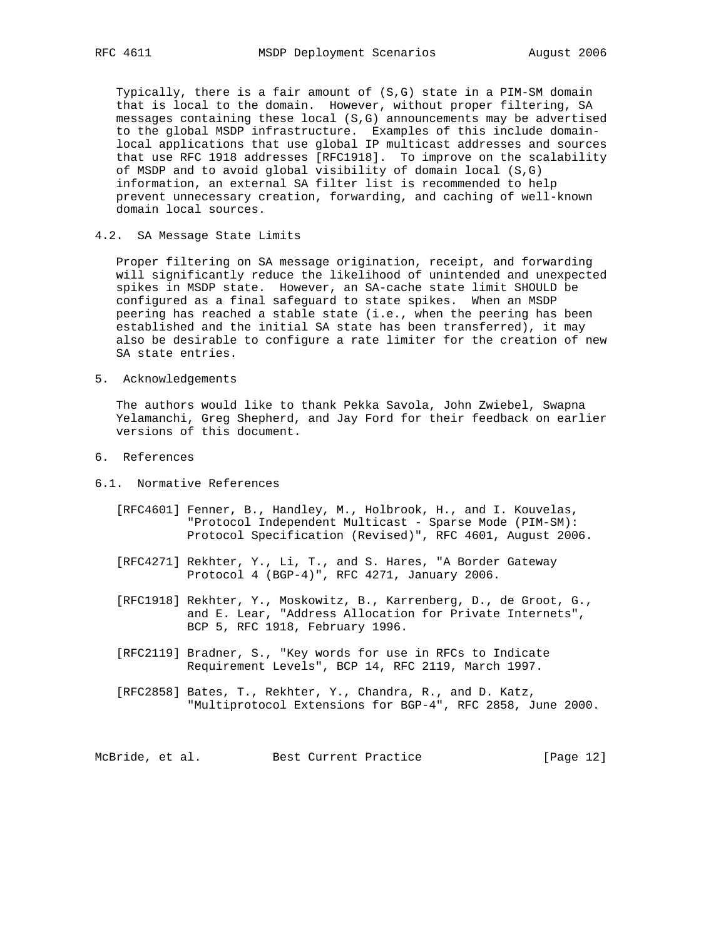Typically, there is a fair amount of (S,G) state in a PIM-SM domain that is local to the domain. However, without proper filtering, SA messages containing these local (S,G) announcements may be advertised to the global MSDP infrastructure. Examples of this include domain local applications that use global IP multicast addresses and sources that use RFC 1918 addresses [RFC1918]. To improve on the scalability of MSDP and to avoid global visibility of domain local (S,G) information, an external SA filter list is recommended to help prevent unnecessary creation, forwarding, and caching of well-known domain local sources.

4.2. SA Message State Limits

 Proper filtering on SA message origination, receipt, and forwarding will significantly reduce the likelihood of unintended and unexpected spikes in MSDP state. However, an SA-cache state limit SHOULD be configured as a final safeguard to state spikes. When an MSDP peering has reached a stable state (i.e., when the peering has been established and the initial SA state has been transferred), it may also be desirable to configure a rate limiter for the creation of new SA state entries.

5. Acknowledgements

 The authors would like to thank Pekka Savola, John Zwiebel, Swapna Yelamanchi, Greg Shepherd, and Jay Ford for their feedback on earlier versions of this document.

- 6. References
- 6.1. Normative References
	- [RFC4601] Fenner, B., Handley, M., Holbrook, H., and I. Kouvelas, "Protocol Independent Multicast - Sparse Mode (PIM-SM): Protocol Specification (Revised)", RFC 4601, August 2006.
	- [RFC4271] Rekhter, Y., Li, T., and S. Hares, "A Border Gateway Protocol 4 (BGP-4)", RFC 4271, January 2006.
	- [RFC1918] Rekhter, Y., Moskowitz, B., Karrenberg, D., de Groot, G., and E. Lear, "Address Allocation for Private Internets", BCP 5, RFC 1918, February 1996.
	- [RFC2119] Bradner, S., "Key words for use in RFCs to Indicate Requirement Levels", BCP 14, RFC 2119, March 1997.
	- [RFC2858] Bates, T., Rekhter, Y., Chandra, R., and D. Katz, "Multiprotocol Extensions for BGP-4", RFC 2858, June 2000.

McBride, et al. Best Current Practice [Page 12]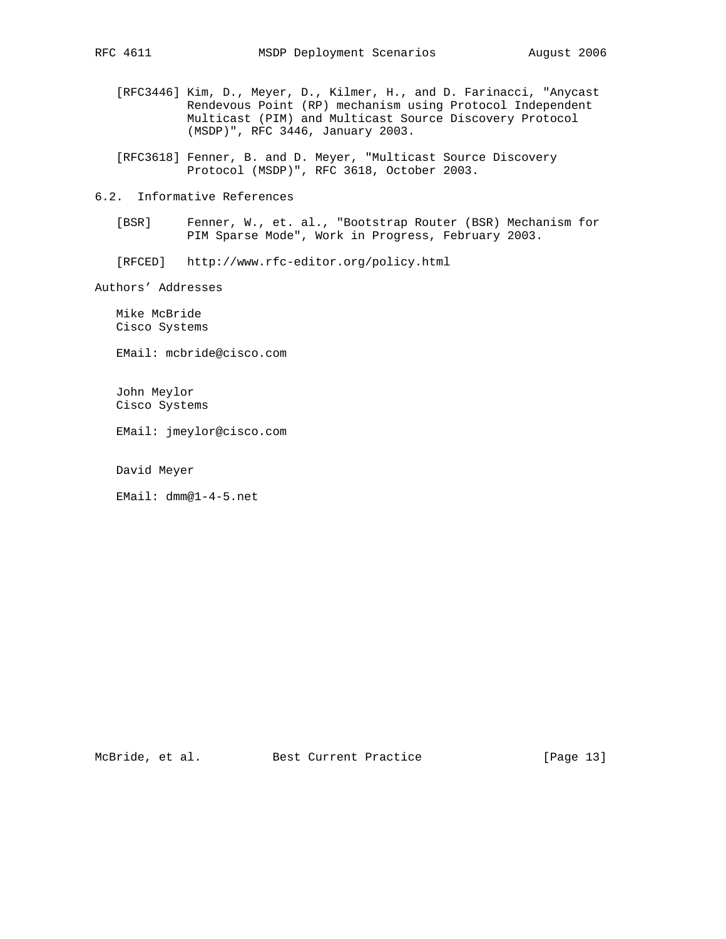- [RFC3446] Kim, D., Meyer, D., Kilmer, H., and D. Farinacci, "Anycast Rendevous Point (RP) mechanism using Protocol Independent Multicast (PIM) and Multicast Source Discovery Protocol (MSDP)", RFC 3446, January 2003.
- [RFC3618] Fenner, B. and D. Meyer, "Multicast Source Discovery Protocol (MSDP)", RFC 3618, October 2003.
- 6.2. Informative References
	- [BSR] Fenner, W., et. al., "Bootstrap Router (BSR) Mechanism for PIM Sparse Mode", Work in Progress, February 2003.
	- [RFCED] http://www.rfc-editor.org/policy.html

Authors' Addresses

 Mike McBride Cisco Systems

EMail: mcbride@cisco.com

 John Meylor Cisco Systems

EMail: jmeylor@cisco.com

David Meyer

EMail: dmm@1-4-5.net

McBride, et al. Best Current Practice [Page 13]